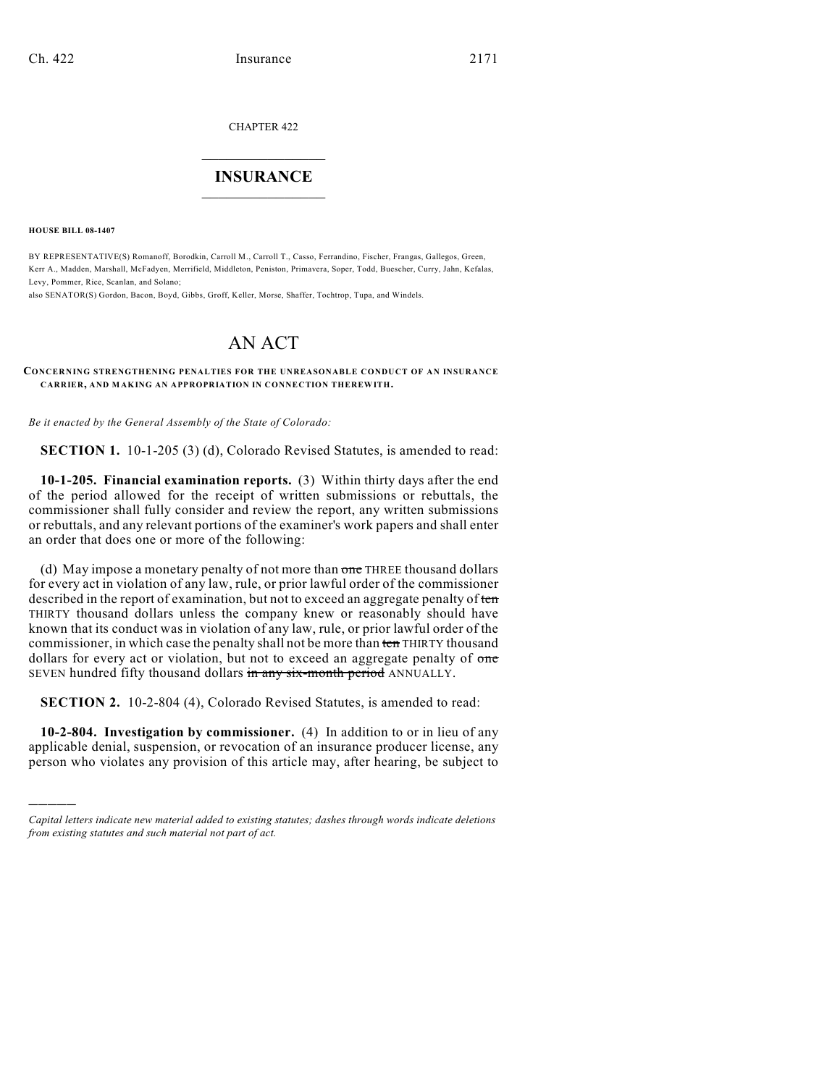CHAPTER 422

## $\mathcal{L}_\text{max}$  . The set of the set of the set of the set of the set of the set of the set of the set of the set of the set of the set of the set of the set of the set of the set of the set of the set of the set of the set **INSURANCE**  $\frac{1}{2}$  ,  $\frac{1}{2}$  ,  $\frac{1}{2}$  ,  $\frac{1}{2}$  ,  $\frac{1}{2}$  ,  $\frac{1}{2}$  ,  $\frac{1}{2}$

**HOUSE BILL 08-1407**

)))))

BY REPRESENTATIVE(S) Romanoff, Borodkin, Carroll M., Carroll T., Casso, Ferrandino, Fischer, Frangas, Gallegos, Green, Kerr A., Madden, Marshall, McFadyen, Merrifield, Middleton, Peniston, Primavera, Soper, Todd, Buescher, Curry, Jahn, Kefalas, Levy, Pommer, Rice, Scanlan, and Solano;

also SENATOR(S) Gordon, Bacon, Boyd, Gibbs, Groff, Keller, Morse, Shaffer, Tochtrop, Tupa, and Windels.

## AN ACT

## **CONCERNING STRENGTHENING PENALTIES FOR THE UNREASONABLE CONDUCT OF AN INSURANCE CARRIER, AND MAKING AN APPROPRIATION IN CONNECTION THEREWITH.**

*Be it enacted by the General Assembly of the State of Colorado:*

**SECTION 1.** 10-1-205 (3) (d), Colorado Revised Statutes, is amended to read:

**10-1-205. Financial examination reports.** (3) Within thirty days after the end of the period allowed for the receipt of written submissions or rebuttals, the commissioner shall fully consider and review the report, any written submissions or rebuttals, and any relevant portions of the examiner's work papers and shall enter an order that does one or more of the following:

(d) May impose a monetary penalty of not more than one THREE thousand dollars for every act in violation of any law, rule, or prior lawful order of the commissioner described in the report of examination, but not to exceed an aggregate penalty of ten THIRTY thousand dollars unless the company knew or reasonably should have known that its conduct was in violation of any law, rule, or prior lawful order of the commissioner, in which case the penalty shall not be more than ten THIRTY thousand dollars for every act or violation, but not to exceed an aggregate penalty of one SEVEN hundred fifty thousand dollars in any six-month period ANNUALLY.

**SECTION 2.** 10-2-804 (4), Colorado Revised Statutes, is amended to read:

**10-2-804. Investigation by commissioner.** (4) In addition to or in lieu of any applicable denial, suspension, or revocation of an insurance producer license, any person who violates any provision of this article may, after hearing, be subject to

*Capital letters indicate new material added to existing statutes; dashes through words indicate deletions from existing statutes and such material not part of act.*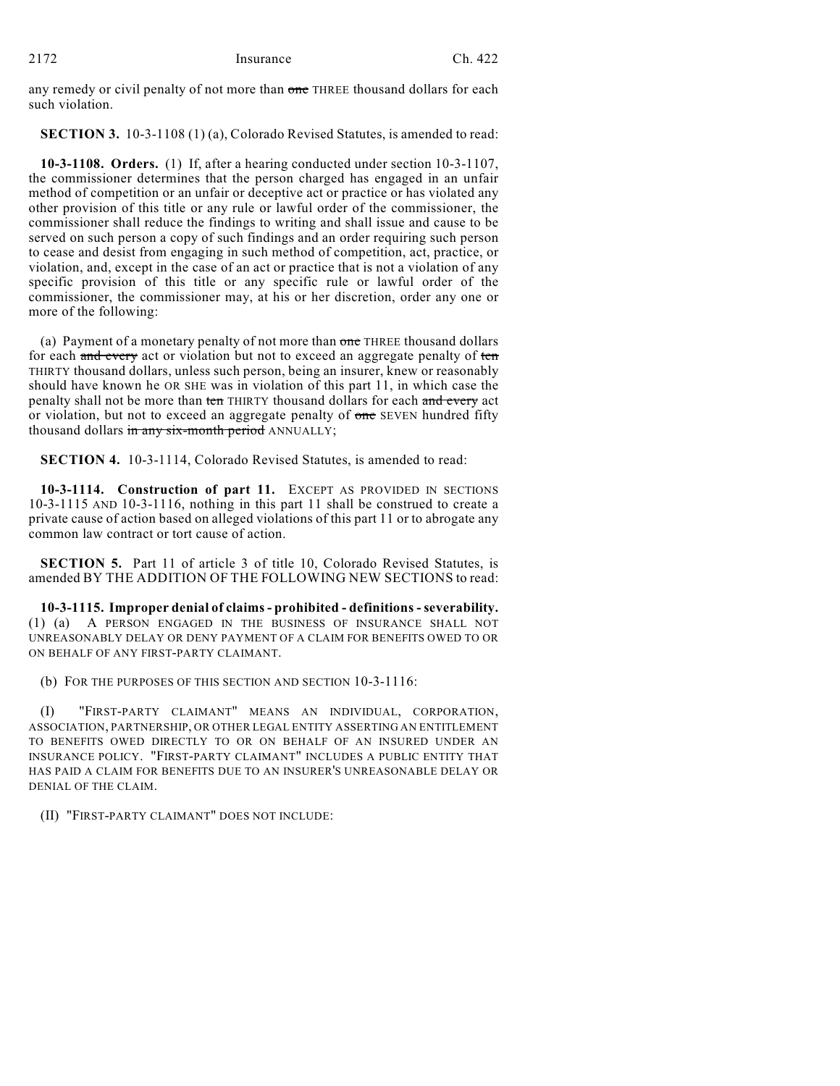any remedy or civil penalty of not more than one THREE thousand dollars for each such violation.

**SECTION 3.** 10-3-1108 (1) (a), Colorado Revised Statutes, is amended to read:

**10-3-1108. Orders.** (1) If, after a hearing conducted under section 10-3-1107, the commissioner determines that the person charged has engaged in an unfair method of competition or an unfair or deceptive act or practice or has violated any other provision of this title or any rule or lawful order of the commissioner, the commissioner shall reduce the findings to writing and shall issue and cause to be served on such person a copy of such findings and an order requiring such person to cease and desist from engaging in such method of competition, act, practice, or violation, and, except in the case of an act or practice that is not a violation of any specific provision of this title or any specific rule or lawful order of the commissioner, the commissioner may, at his or her discretion, order any one or more of the following:

(a) Payment of a monetary penalty of not more than one THREE thousand dollars for each and every act or violation but not to exceed an aggregate penalty of ten THIRTY thousand dollars, unless such person, being an insurer, knew or reasonably should have known he OR SHE was in violation of this part 11, in which case the penalty shall not be more than ten THIRTY thousand dollars for each and every act or violation, but not to exceed an aggregate penalty of one SEVEN hundred fifty thousand dollars in any six-month period ANNUALLY;

**SECTION 4.** 10-3-1114, Colorado Revised Statutes, is amended to read:

**10-3-1114. Construction of part 11.** EXCEPT AS PROVIDED IN SECTIONS 10-3-1115 AND 10-3-1116, nothing in this part 11 shall be construed to create a private cause of action based on alleged violations of this part 11 or to abrogate any common law contract or tort cause of action.

**SECTION 5.** Part 11 of article 3 of title 10, Colorado Revised Statutes, is amended BY THE ADDITION OF THE FOLLOWING NEW SECTIONS to read:

**10-3-1115. Improper denial of claims - prohibited - definitions - severability.** (1) (a) A PERSON ENGAGED IN THE BUSINESS OF INSURANCE SHALL NOT UNREASONABLY DELAY OR DENY PAYMENT OF A CLAIM FOR BENEFITS OWED TO OR ON BEHALF OF ANY FIRST-PARTY CLAIMANT.

(b) FOR THE PURPOSES OF THIS SECTION AND SECTION 10-3-1116:

(I) "FIRST-PARTY CLAIMANT" MEANS AN INDIVIDUAL, CORPORATION, ASSOCIATION, PARTNERSHIP, OR OTHER LEGAL ENTITY ASSERTING AN ENTITLEMENT TO BENEFITS OWED DIRECTLY TO OR ON BEHALF OF AN INSURED UNDER AN INSURANCE POLICY. "FIRST-PARTY CLAIMANT" INCLUDES A PUBLIC ENTITY THAT HAS PAID A CLAIM FOR BENEFITS DUE TO AN INSURER'S UNREASONABLE DELAY OR DENIAL OF THE CLAIM.

(II) "FIRST-PARTY CLAIMANT" DOES NOT INCLUDE: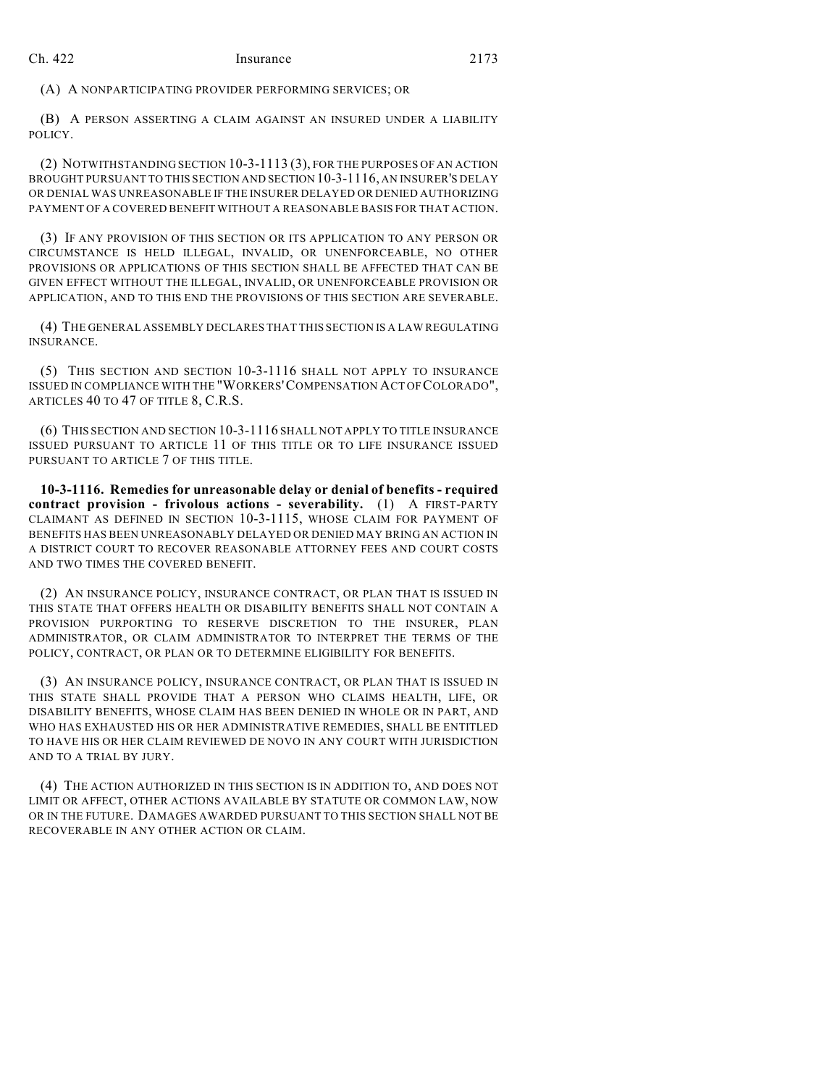(A) A NONPARTICIPATING PROVIDER PERFORMING SERVICES; OR

(B) A PERSON ASSERTING A CLAIM AGAINST AN INSURED UNDER A LIABILITY POLICY.

(2) NOTWITHSTANDING SECTION 10-3-1113 (3), FOR THE PURPOSES OF AN ACTION BROUGHT PURSUANT TO THIS SECTION AND SECTION 10-3-1116, AN INSURER'S DELAY OR DENIAL WAS UNREASONABLE IF THE INSURER DELAYED OR DENIED AUTHORIZING PAYMENT OF A COVERED BENEFIT WITHOUT A REASONABLE BASIS FOR THAT ACTION.

(3) IF ANY PROVISION OF THIS SECTION OR ITS APPLICATION TO ANY PERSON OR CIRCUMSTANCE IS HELD ILLEGAL, INVALID, OR UNENFORCEABLE, NO OTHER PROVISIONS OR APPLICATIONS OF THIS SECTION SHALL BE AFFECTED THAT CAN BE GIVEN EFFECT WITHOUT THE ILLEGAL, INVALID, OR UNENFORCEABLE PROVISION OR APPLICATION, AND TO THIS END THE PROVISIONS OF THIS SECTION ARE SEVERABLE.

(4) THE GENERAL ASSEMBLY DECLARES THAT THIS SECTION IS A LAW REGULATING INSURANCE.

(5) THIS SECTION AND SECTION 10-3-1116 SHALL NOT APPLY TO INSURANCE ISSUED IN COMPLIANCE WITH THE "WORKERS'COMPENSATION ACT OF COLORADO", ARTICLES 40 TO 47 OF TITLE 8, C.R.S.

(6) THIS SECTION AND SECTION 10-3-1116 SHALL NOT APPLY TO TITLE INSURANCE ISSUED PURSUANT TO ARTICLE 11 OF THIS TITLE OR TO LIFE INSURANCE ISSUED PURSUANT TO ARTICLE 7 OF THIS TITLE.

**10-3-1116. Remedies for unreasonable delay or denial of benefits - required contract provision - frivolous actions - severability.** (1) A FIRST-PARTY CLAIMANT AS DEFINED IN SECTION 10-3-1115, WHOSE CLAIM FOR PAYMENT OF BENEFITS HAS BEEN UNREASONABLY DELAYED OR DENIED MAY BRING AN ACTION IN A DISTRICT COURT TO RECOVER REASONABLE ATTORNEY FEES AND COURT COSTS AND TWO TIMES THE COVERED BENEFIT.

(2) AN INSURANCE POLICY, INSURANCE CONTRACT, OR PLAN THAT IS ISSUED IN THIS STATE THAT OFFERS HEALTH OR DISABILITY BENEFITS SHALL NOT CONTAIN A PROVISION PURPORTING TO RESERVE DISCRETION TO THE INSURER, PLAN ADMINISTRATOR, OR CLAIM ADMINISTRATOR TO INTERPRET THE TERMS OF THE POLICY, CONTRACT, OR PLAN OR TO DETERMINE ELIGIBILITY FOR BENEFITS.

(3) AN INSURANCE POLICY, INSURANCE CONTRACT, OR PLAN THAT IS ISSUED IN THIS STATE SHALL PROVIDE THAT A PERSON WHO CLAIMS HEALTH, LIFE, OR DISABILITY BENEFITS, WHOSE CLAIM HAS BEEN DENIED IN WHOLE OR IN PART, AND WHO HAS EXHAUSTED HIS OR HER ADMINISTRATIVE REMEDIES, SHALL BE ENTITLED TO HAVE HIS OR HER CLAIM REVIEWED DE NOVO IN ANY COURT WITH JURISDICTION AND TO A TRIAL BY JURY.

(4) THE ACTION AUTHORIZED IN THIS SECTION IS IN ADDITION TO, AND DOES NOT LIMIT OR AFFECT, OTHER ACTIONS AVAILABLE BY STATUTE OR COMMON LAW, NOW OR IN THE FUTURE. DAMAGES AWARDED PURSUANT TO THIS SECTION SHALL NOT BE RECOVERABLE IN ANY OTHER ACTION OR CLAIM.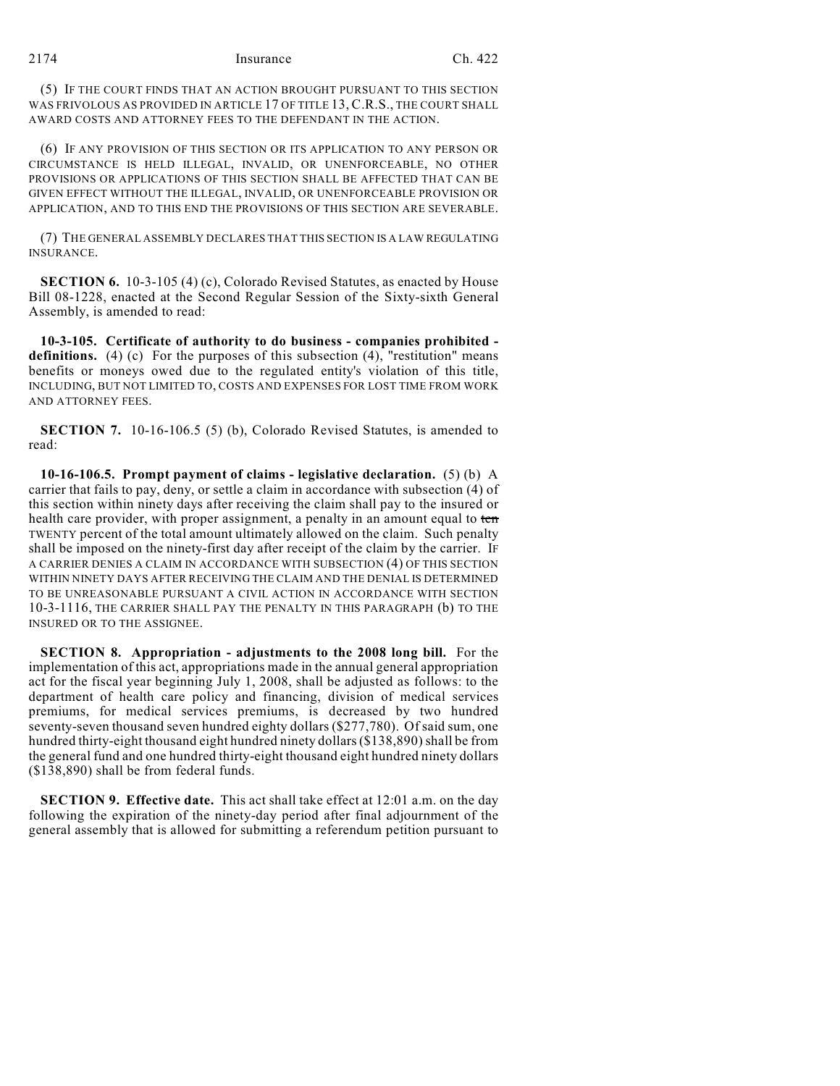2174 Insurance Ch. 422

(5) IF THE COURT FINDS THAT AN ACTION BROUGHT PURSUANT TO THIS SECTION WAS FRIVOLOUS AS PROVIDED IN ARTICLE 17 OF TITLE 13, C.R.S., THE COURT SHALL AWARD COSTS AND ATTORNEY FEES TO THE DEFENDANT IN THE ACTION.

(6) IF ANY PROVISION OF THIS SECTION OR ITS APPLICATION TO ANY PERSON OR CIRCUMSTANCE IS HELD ILLEGAL, INVALID, OR UNENFORCEABLE, NO OTHER PROVISIONS OR APPLICATIONS OF THIS SECTION SHALL BE AFFECTED THAT CAN BE GIVEN EFFECT WITHOUT THE ILLEGAL, INVALID, OR UNENFORCEABLE PROVISION OR APPLICATION, AND TO THIS END THE PROVISIONS OF THIS SECTION ARE SEVERABLE.

(7) THE GENERAL ASSEMBLY DECLARES THAT THIS SECTION IS A LAW REGULATING INSURANCE.

**SECTION 6.** 10-3-105 (4) (c), Colorado Revised Statutes, as enacted by House Bill 08-1228, enacted at the Second Regular Session of the Sixty-sixth General Assembly, is amended to read:

**10-3-105. Certificate of authority to do business - companies prohibited definitions.** (4) (c) For the purposes of this subsection (4), "restitution" means benefits or moneys owed due to the regulated entity's violation of this title, INCLUDING, BUT NOT LIMITED TO, COSTS AND EXPENSES FOR LOST TIME FROM WORK AND ATTORNEY FEES.

**SECTION 7.** 10-16-106.5 (5) (b), Colorado Revised Statutes, is amended to read:

**10-16-106.5. Prompt payment of claims - legislative declaration.** (5) (b) A carrier that fails to pay, deny, or settle a claim in accordance with subsection (4) of this section within ninety days after receiving the claim shall pay to the insured or health care provider, with proper assignment, a penalty in an amount equal to ten TWENTY percent of the total amount ultimately allowed on the claim. Such penalty shall be imposed on the ninety-first day after receipt of the claim by the carrier. IF A CARRIER DENIES A CLAIM IN ACCORDANCE WITH SUBSECTION (4) OF THIS SECTION WITHIN NINETY DAYS AFTER RECEIVING THE CLAIM AND THE DENIAL IS DETERMINED TO BE UNREASONABLE PURSUANT A CIVIL ACTION IN ACCORDANCE WITH SECTION 10-3-1116, THE CARRIER SHALL PAY THE PENALTY IN THIS PARAGRAPH (b) TO THE INSURED OR TO THE ASSIGNEE.

**SECTION 8. Appropriation - adjustments to the 2008 long bill.** For the implementation of this act, appropriations made in the annual general appropriation act for the fiscal year beginning July 1, 2008, shall be adjusted as follows: to the department of health care policy and financing, division of medical services premiums, for medical services premiums, is decreased by two hundred seventy-seven thousand seven hundred eighty dollars (\$277,780). Of said sum, one hundred thirty-eight thousand eight hundred ninety dollars (\$138,890) shall be from the general fund and one hundred thirty-eight thousand eight hundred ninety dollars (\$138,890) shall be from federal funds.

**SECTION 9. Effective date.** This act shall take effect at 12:01 a.m. on the day following the expiration of the ninety-day period after final adjournment of the general assembly that is allowed for submitting a referendum petition pursuant to